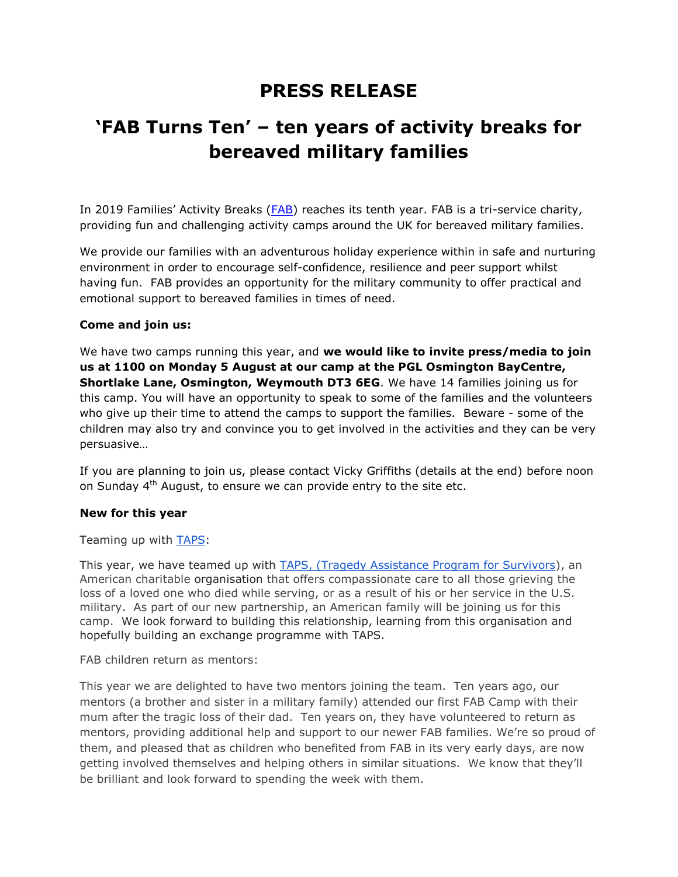# **PRESS RELEASE**

# **'FAB Turns Ten' – ten years of activity breaks for bereaved military families**

In 2019 Families' Activity Breaks ([FAB\)](https://pinso365-my.sharepoint.com/personal/vicky_griffiths_planninginspectorate_gov_uk/Documents/Documents/FAB/Media%20images%20and%20logos/Press%20Release/External/fabcamps.org.uk) reaches its tenth year. FAB is a tri-service charity, providing fun and challenging activity camps around the UK for bereaved military families.

We provide our families with an adventurous holiday experience within in safe and nurturing environment in order to encourage self-confidence, resilience and peer support whilst having fun. FAB provides an opportunity for the military community to offer practical and emotional support to bereaved families in times of need.

# **Come and join us:**

We have two camps running this year, and **we would like to invite press/media to join us at 1100 on Monday 5 August at our camp at the PGL Osmington BayCentre, Shortlake Lane, Osmington, Weymouth DT3 6EG**. We have 14 families joining us for this camp. You will have an opportunity to speak to some of the families and the volunteers who give up their time to attend the camps to support the families. Beware - some of the children may also try and convince you to get involved in the activities and they can be very persuasive…

If you are planning to join us, please contact Vicky Griffiths (details at the end) before noon on Sunday  $4<sup>th</sup>$  August, to ensure we can provide entry to the site etc.

## **New for this year**

Teaming up with [TAPS:](https://www.taps.org/)

This year, we have teamed up with [TAPS, \(Tragedy Assistance Program for Survivors\)](https://www.taps.org/), an American charitable organisation that offers compassionate care to all those grieving the loss of a loved one who died while serving, or as a result of his or her service in the U.S. military. As part of our new partnership, an American family will be joining us for this camp. We look forward to building this relationship, learning from this organisation and hopefully building an exchange programme with TAPS.

FAB children return as mentors:

This year we are delighted to have two mentors joining the team. Ten years ago, our mentors (a brother and sister in a military family) attended our first FAB Camp with their mum after the tragic loss of their dad. Ten years on, they have volunteered to return as mentors, providing additional help and support to our newer FAB families. We're so proud of them, and pleased that as children who benefited from FAB in its very early days, are now getting involved themselves and helping others in similar situations. We know that they'll be brilliant and look forward to spending the week with them.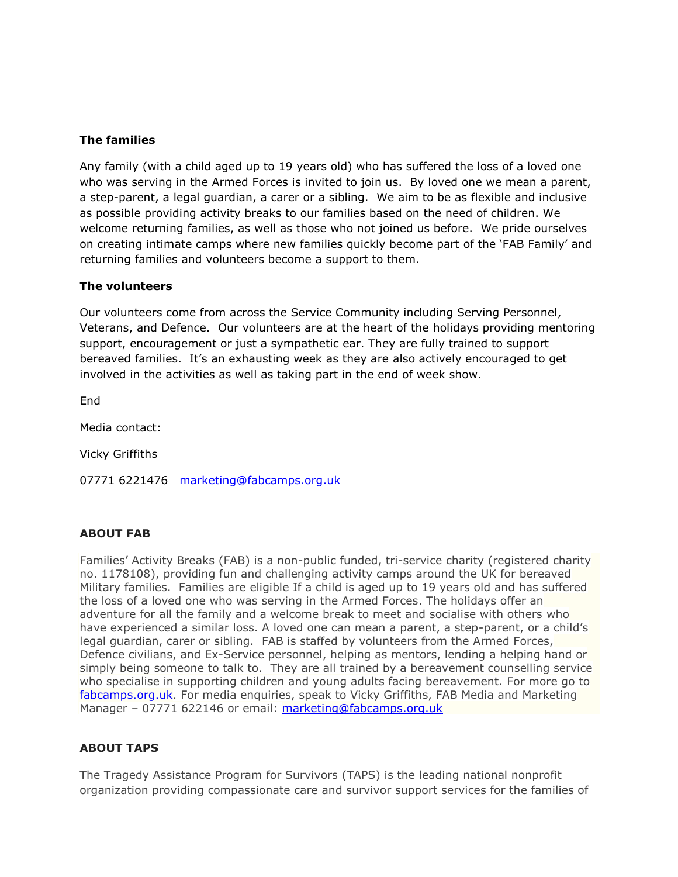# **The families**

Any family (with a child aged up to 19 years old) who has suffered the loss of a loved one who was serving in the Armed Forces is invited to join us. By loved one we mean a parent, a step-parent, a legal guardian, a carer or a sibling. We aim to be as flexible and inclusive as possible providing activity breaks to our families based on the need of children. We welcome returning families, as well as those who not joined us before. We pride ourselves on creating intimate camps where new families quickly become part of the 'FAB Family' and returning families and volunteers become a support to them.

## **The volunteers**

Our volunteers come from across the Service Community including Serving Personnel, Veterans, and Defence. Our volunteers are at the heart of the holidays providing mentoring support, encouragement or just a sympathetic ear. They are fully trained to support bereaved families. It's an exhausting week as they are also actively encouraged to get involved in the activities as well as taking part in the end of week show.

End

Media contact:

Vicky Griffiths

07771 6221476 [marketing@fabcamps.org.uk](mailto:marketing@fabcamps.org.uk)

## **ABOUT FAB**

Families' Activity Breaks (FAB) is a non-public funded, tri-service charity (registered charity no. [1178108\)](http://apps.charitycommission.gov.uk/Showcharity/RegisterOfCharities/CharityFramework.aspx?RegisteredCharityNumber=1178108&SubsidiaryNumber=0), providing fun and challenging activity camps around the UK for bereaved Military families. Families are eligible If a child is aged up to 19 years old and has suffered the loss of a loved one who was serving in the Armed Forces. The holidays offer an adventure for all the family and a welcome break to meet and socialise with others who have experienced a similar loss. A loved one can mean a parent, a step-parent, or a child's legal guardian, carer or sibling. FAB is staffed by volunteers from the Armed Forces, Defence civilians, and Ex-Service personnel, helping as mentors, lending a helping hand or simply being someone to talk to. They are all trained by a bereavement counselling service who specialise in supporting children and young adults facing bereavement. For more go to [fabcamps.org.uk.](http://www.fabcamps.org.uk/) For media enquiries, speak to Vicky Griffiths, FAB Media and Marketing Manager – 07771 622146 or email: [marketing@fabcamps.org.uk](mailto:marketing@fabcamps.org.uk)

## **ABOUT TAPS**

The Tragedy Assistance Program for Survivors (TAPS) is the leading national nonprofit organization providing compassionate care and survivor support services for the families of